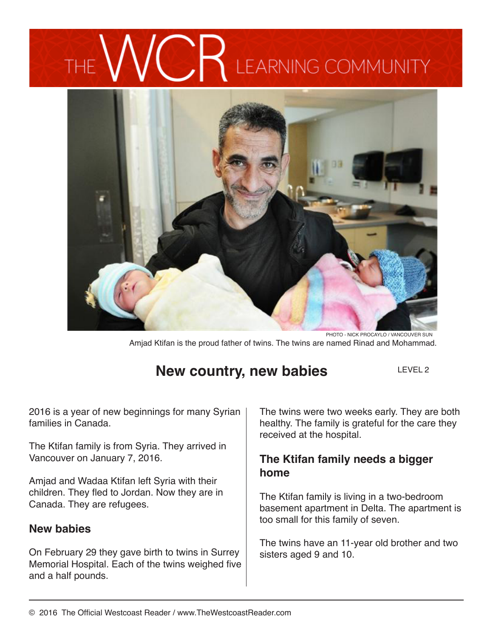# **LEARNING COMMUNITY**



Amjad Ktifan is the proud father of twins. The twins are named Rinad and Mohammad. PHOTO - NICK PROCAYLO / VANCOUVER SUN

## **New country, new babies**

LEVEL 2

2016 is a year of new beginnings for many Syrian families in Canada.

The Ktifan family is from Syria. They arrived in Vancouver on January 7, 2016.

Amjad and Wadaa Ktifan left Syria with their children. They fled to Jordan. Now they are in Canada. They are refugees.

#### **New babies**

On February 29 they gave birth to twins in Surrey Memorial Hospital. Each of the twins weighed five and a half pounds.

The twins were two weeks early. They are both healthy. The family is grateful for the care they received at the hospital.

## **The Ktifan family needs a bigger home**

The Ktifan family is living in a two-bedroom basement apartment in Delta. The apartment is too small for this family of seven.

The twins have an 11-year old brother and two sisters aged 9 and 10.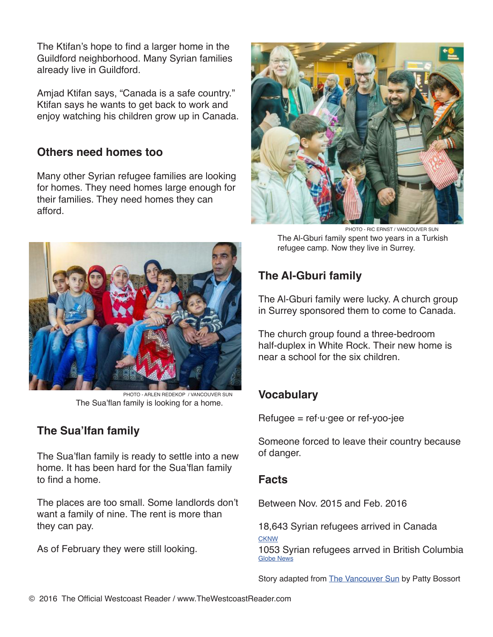The Ktifan's hope to find a larger home in the Guildford neighborhood. Many Syrian families already live in Guildford.

Amjad Ktifan says, "Canada is a safe country." Ktifan says he wants to get back to work and enjoy watching his children grow up in Canada.

### **Others need homes too**

Many other Syrian refugee families are looking for homes. They need homes large enough for their families. They need homes they can afford.



The Sua'flan family is looking for a home. PHOTO - ARLEN REDEKOP / VANCOUVER SUN

## **The Sua'Ifan family**

The Sua'flan family is ready to settle into a new home. It has been hard for the Sua'flan family to find a home.

The places are too small. Some landlords don't want a family of nine. The rent is more than they can pay.

As of February they were still looking.



PHOTO - RIC ERNST / VANCOUVER SUN The Al-Gburi family spent two years in a Turkish refugee camp. Now they live in Surrey.

## **The Al-Gburi family**

The Al-Gburi family were lucky. A church group in Surrey sponsored them to come to Canada.

The church group found a three-bedroom half-duplex in White Rock. Their new home is near a school for the six children.

## **Vocabulary**

 $Refuge = ref·u·gee$  or ref-yoo-jee

Someone forced to leave their country because of danger.

#### **Facts**

Between Nov. 2015 and Feb. 2016

18,643 Syrian refugees arrived in Canada **CKNW** 1053 Syrian refugees arrved in British Columbia Globe News

Story adapted from The Vancouver Sun by Patty Bossort